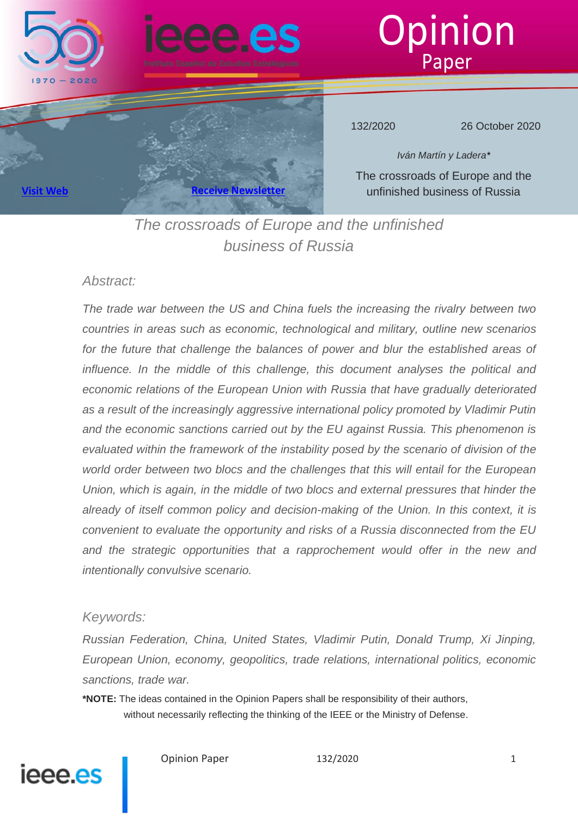





132/2020 26 October 2020

*Iván Martín y Ladera\** The crossroads of Europe and the unfinished business of Russia

**[Visit Web](http://www.ieee.es/) Receive Newslet** 

*The crossroads of Europe and the unfinished business of Russia*

## *Abstract:*

*The trade war between the US and China fuels the increasing the rivalry between two countries in areas such as economic, technological and military, outline new scenarios*  for the future that challenge the balances of power and blur the established areas of *influence. In the middle of this challenge, this document analyses the political and economic relations of the European Union with Russia that have gradually deteriorated as a result of the increasingly aggressive international policy promoted by Vladimir Putin and the economic sanctions carried out by the EU against Russia. This phenomenon is evaluated within the framework of the instability posed by the scenario of division of the world order between two blocs and the challenges that this will entail for the European Union, which is again, in the middle of two blocs and external pressures that hinder the already of itself common policy and decision-making of the Union. In this context, it is convenient to evaluate the opportunity and risks of a Russia disconnected from the EU and the strategic opportunities that a rapprochement would offer in the new and intentionally convulsive scenario.*

## *Keywords:*

*Russian Federation, China, United States, Vladimir Putin, Donald Trump, Xi Jinping, European Union, economy, geopolitics, trade relations, international politics, economic sanctions, trade war.*

**\*NOTE:** The ideas contained in the Opinion Papers shall be responsibility of their authors, without necessarily reflecting the thinking of the IEEE or the Ministry of Defense.

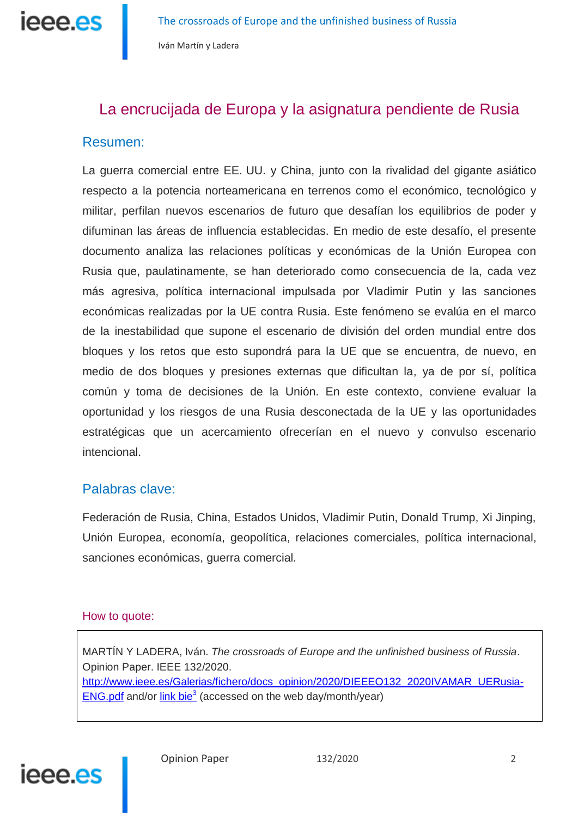

# La encrucijada de Europa y la asignatura pendiente de Rusia

## Resumen:

La guerra comercial entre EE. UU. y China, junto con la rivalidad del gigante asiático respecto a la potencia norteamericana en terrenos como el económico, tecnológico y militar, perfilan nuevos escenarios de futuro que desafían los equilibrios de poder y difuminan las áreas de influencia establecidas. En medio de este desafío, el presente documento analiza las relaciones políticas y económicas de la Unión Europea con Rusia que, paulatinamente, se han deteriorado como consecuencia de la, cada vez más agresiva, política internacional impulsada por Vladimir Putin y las sanciones económicas realizadas por la UE contra Rusia. Este fenómeno se evalúa en el marco de la inestabilidad que supone el escenario de división del orden mundial entre dos bloques y los retos que esto supondrá para la UE que se encuentra, de nuevo, en medio de dos bloques y presiones externas que dificultan la, ya de por sí, política común y toma de decisiones de la Unión. En este contexto, conviene evaluar la oportunidad y los riesgos de una Rusia desconectada de la UE y las oportunidades estratégicas que un acercamiento ofrecerían en el nuevo y convulso escenario intencional.

## Palabras clave:

Federación de Rusia, China, Estados Unidos, Vladimir Putin, Donald Trump, Xi Jinping, Unión Europea, economía, geopolítica, relaciones comerciales, política internacional, sanciones económicas, guerra comercial.

## How to quote:

MARTÍN Y LADERA, Iván. *The crossroads of Europe and the unfinished business of Russia*. Opinion Paper. IEEE 132/2020. http://www.ieee.es/Galerias/fichero/docs\_opinion/2020/DIEEEO132\_2020IVAMAR\_UERusia-**ENG.pdf** and/or  $\frac{\text{link} \text{bie}^3}{\text{base}}$  (accessed on the web day/month/year)

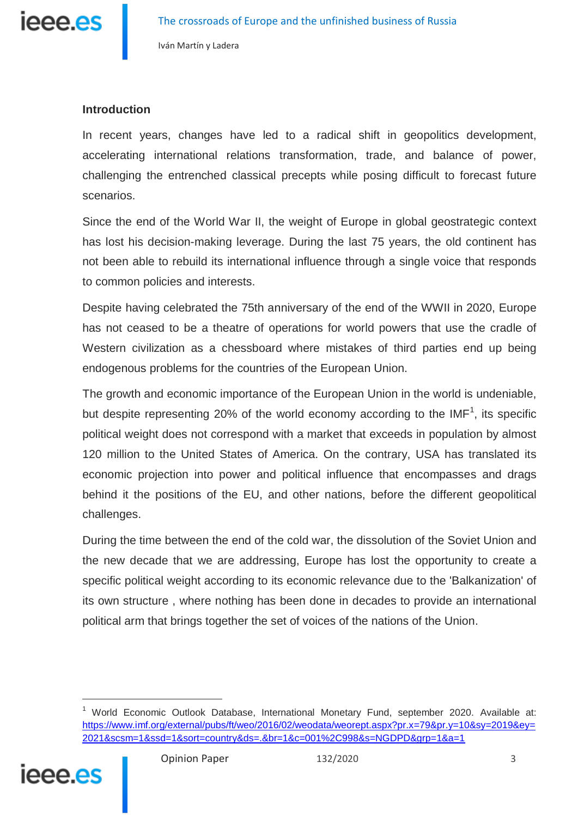

## **Introduction**

In recent years, changes have led to a radical shift in geopolitics development, accelerating international relations transformation, trade, and balance of power, challenging the entrenched classical precepts while posing difficult to forecast future scenarios.

Since the end of the World War II, the weight of Europe in global geostrategic context has lost his decision-making leverage. During the last 75 years, the old continent has not been able to rebuild its international influence through a single voice that responds to common policies and interests.

Despite having celebrated the 75th anniversary of the end of the WWII in 2020, Europe has not ceased to be a theatre of operations for world powers that use the cradle of Western civilization as a chessboard where mistakes of third parties end up being endogenous problems for the countries of the European Union.

The growth and economic importance of the European Union in the world is undeniable, but despite representing 20% of the world economy according to the IMF<sup>1</sup>, its specific political weight does not correspond with a market that exceeds in population by almost 120 million to the United States of America. On the contrary, USA has translated its economic projection into power and political influence that encompasses and drags behind it the positions of the EU, and other nations, before the different geopolitical challenges.

During the time between the end of the cold war, the dissolution of the Soviet Union and the new decade that we are addressing, Europe has lost the opportunity to create a specific political weight according to its economic relevance due to the 'Balkanization' of its own structure , where nothing has been done in decades to provide an international political arm that brings together the set of voices of the nations of the Union.

<sup>&</sup>lt;sup>1</sup> World Economic Outlook Database, International Monetary Fund, september 2020. Available at: [https://www.imf.org/external/pubs/ft/weo/2016/02/weodata/weorept.aspx?pr.x=79&pr.y=10&sy=2019&ey=](https://www.imf.org/external/pubs/ft/weo/2016/02/weodata/weorept.aspx?pr.x=79&pr.y=10&sy=2019&ey=2021&scsm=1&ssd=1&sort=country&ds=.&br=1&c=001%2C998&s=NGDPD&grp=1&a=1) [2021&scsm=1&ssd=1&sort=country&ds=.&br=1&c=001%2C998&s=NGDPD&grp=1&a=1](https://www.imf.org/external/pubs/ft/weo/2016/02/weodata/weorept.aspx?pr.x=79&pr.y=10&sy=2019&ey=2021&scsm=1&ssd=1&sort=country&ds=.&br=1&c=001%2C998&s=NGDPD&grp=1&a=1)



j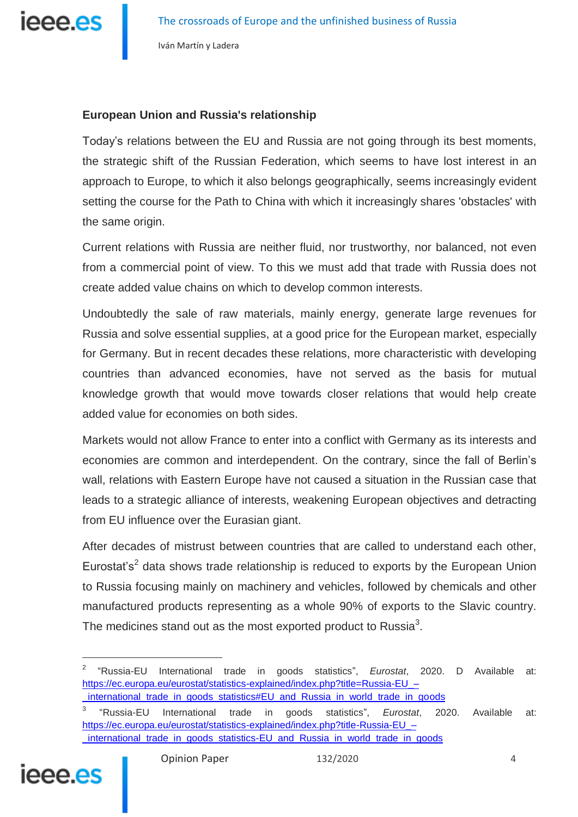

## **European Union and Russia's relationship**

Today's relations between the EU and Russia are not going through its best moments, the strategic shift of the Russian Federation, which seems to have lost interest in an approach to Europe, to which it also belongs geographically, seems increasingly evident setting the course for the Path to China with which it increasingly shares 'obstacles' with the same origin.

Current relations with Russia are neither fluid, nor trustworthy, nor balanced, not even from a commercial point of view. To this we must add that trade with Russia does not create added value chains on which to develop common interests.

Undoubtedly the sale of raw materials, mainly energy, generate large revenues for Russia and solve essential supplies, at a good price for the European market, especially for Germany. But in recent decades these relations, more characteristic with developing countries than advanced economies, have not served as the basis for mutual knowledge growth that would move towards closer relations that would help create added value for economies on both sides.

Markets would not allow France to enter into a conflict with Germany as its interests and economies are common and interdependent. On the contrary, since the fall of Berlin's wall, relations with Eastern Europe have not caused a situation in the Russian case that leads to a strategic alliance of interests, weakening European objectives and detracting from EU influence over the Eurasian giant.

After decades of mistrust between countries that are called to understand each other, Eurostat's<sup>2</sup> data shows trade relationship is reduced to exports by the European Union to Russia focusing mainly on machinery and vehicles, followed by chemicals and other manufactured products representing as a whole 90% of exports to the Slavic country. The medicines stand out as the most exported product to Russia $^3$ .

<sup>3</sup> "Russia-EU International trade in goods statistics", *Eurostat*, 2020. Available at: [https://ec.europa.eu/eurostat/statistics-explained/index.php?title-Russia-EU\\_–](https://ec.europa.eu/eurostat/statistics-explained/index.php?title=Russia-EU_–_international_trade_in_goods_statistics#EU_and_Russia_in_world_trade_in_goods) international trade in goods statistics-EU and Russia in world trade in goods



<sup>2</sup> "Russia-EU International trade in goods statistics", *Eurostat*, 2020. D Available at: [https://ec.europa.eu/eurostat/statistics-explained/index.php?title=Russia-EU\\_–](https://ec.europa.eu/eurostat/statistics-explained/index.php?title=Russia-EU_–_international_trade_in_goods_statistics#EU_and_Russia_in_world_trade_in_goods) [\\_international\\_trade\\_in\\_goods\\_statistics#EU\\_and\\_Russia\\_in\\_world\\_trade\\_in\\_goods](https://ec.europa.eu/eurostat/statistics-explained/index.php?title=Russia-EU_–_international_trade_in_goods_statistics#EU_and_Russia_in_world_trade_in_goods)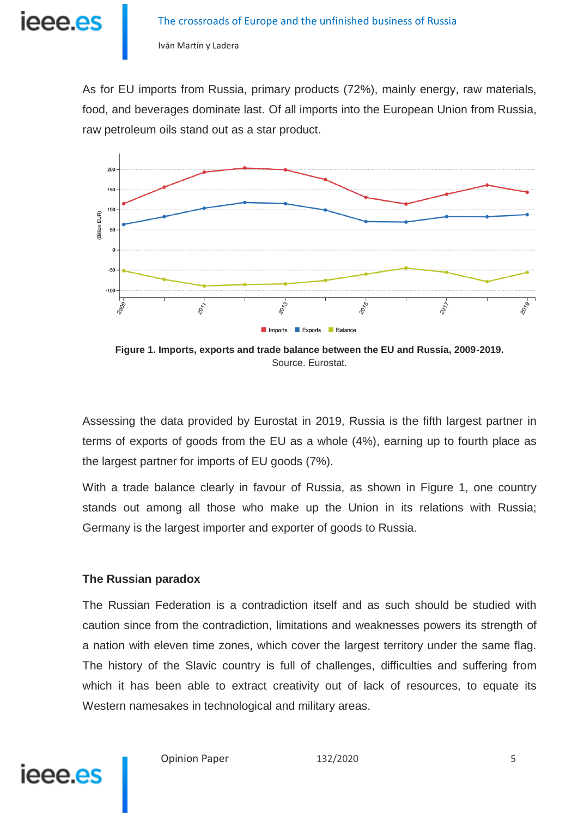

As for EU imports from Russia, primary products (72%), mainly energy, raw materials, food, and beverages dominate last. Of all imports into the European Union from Russia, raw petroleum oils stand out as a star product.



**Figure 1. Imports, exports and trade balance between the EU and Russia, 2009-2019.**  Source. Eurostat.

Assessing the data provided by Eurostat in 2019, Russia is the fifth largest partner in terms of exports of goods from the EU as a whole (4%), earning up to fourth place as the largest partner for imports of EU goods (7%).

With a trade balance clearly in favour of Russia, as shown in Figure 1, one country stands out among all those who make up the Union in its relations with Russia; Germany is the largest importer and exporter of goods to Russia.

### **The Russian paradox**

The Russian Federation is a contradiction itself and as such should be studied with caution since from the contradiction, limitations and weaknesses powers its strength of a nation with eleven time zones, which cover the largest territory under the same flag. The history of the Slavic country is full of challenges, difficulties and suffering from which it has been able to extract creativity out of lack of resources, to equate its Western namesakes in technological and military areas.



Opinion Paper 132/2020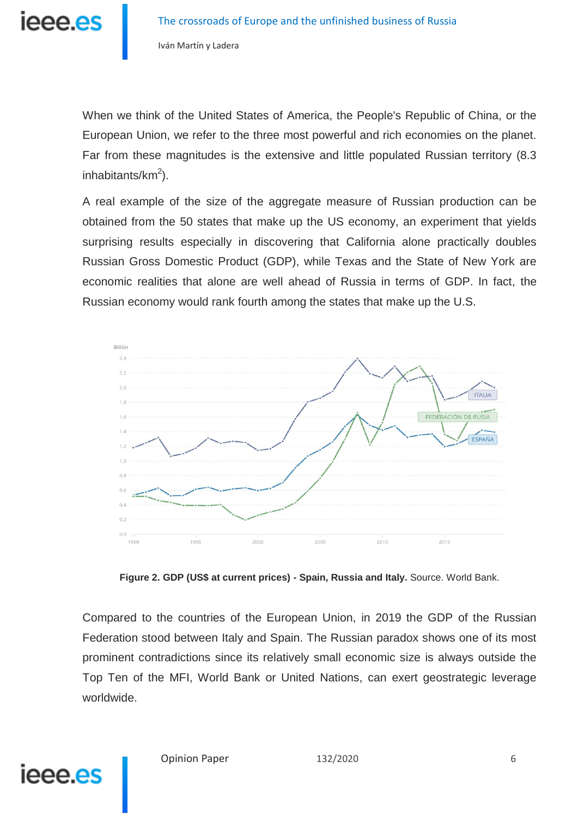

When we think of the United States of America, the People's Republic of China, or the European Union, we refer to the three most powerful and rich economies on the planet. Far from these magnitudes is the extensive and little populated Russian territory (8.3 inhabitants/ $km^2$ ).

A real example of the size of the aggregate measure of Russian production can be obtained from the 50 states that make up the US economy, an experiment that yields surprising results especially in discovering that California alone practically doubles Russian Gross Domestic Product (GDP), while Texas and the State of New York are economic realities that alone are well ahead of Russia in terms of GDP. In fact, the Russian economy would rank fourth among the states that make up the U.S.



**Figure 2. GDP (US\$ at current prices) - Spain, Russia and Italy.** Source. World Bank.

Compared to the countries of the European Union, in 2019 the GDP of the Russian Federation stood between Italy and Spain. The Russian paradox shows one of its most prominent contradictions since its relatively small economic size is always outside the Top Ten of the MFI, World Bank or United Nations, can exert geostrategic leverage worldwide.

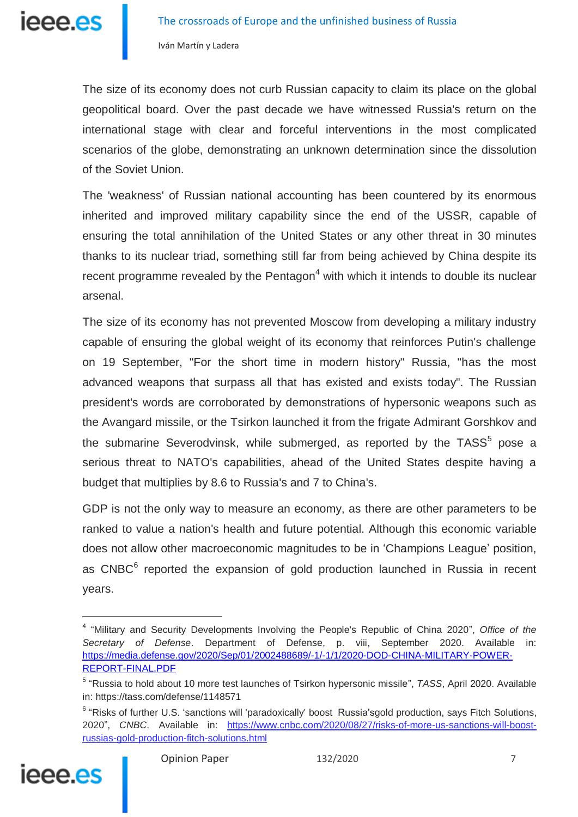

The size of its economy does not curb Russian capacity to claim its place on the global geopolitical board. Over the past decade we have witnessed Russia's return on the international stage with clear and forceful interventions in the most complicated scenarios of the globe, demonstrating an unknown determination since the dissolution of the Soviet Union.

The 'weakness' of Russian national accounting has been countered by its enormous inherited and improved military capability since the end of the USSR, capable of ensuring the total annihilation of the United States or any other threat in 30 minutes thanks to its nuclear triad, something still far from being achieved by China despite its recent programme revealed by the Pentagon<sup>4</sup> with which it intends to double its nuclear arsenal.

The size of its economy has not prevented Moscow from developing a military industry capable of ensuring the global weight of its economy that reinforces Putin's challenge on 19 September, "For the short time in modern history" Russia, "has the most advanced weapons that surpass all that has existed and exists today". The Russian president's words are corroborated by demonstrations of hypersonic weapons such as the Avangard missile, or the Tsirkon launched it from the frigate Admirant Gorshkov and the submarine Severodvinsk, while submerged, as reported by the TASS $<sup>5</sup>$  pose a</sup> serious threat to NATO's capabilities, ahead of the United States despite having a budget that multiplies by 8.6 to Russia's and 7 to China's.

GDP is not the only way to measure an economy, as there are other parameters to be ranked to value a nation's health and future potential. Although this economic variable does not allow other macroeconomic magnitudes to be in 'Champions League' position, as CNBC<sup>6</sup> reported the expansion of gold production launched in Russia in recent years.

<sup>&</sup>lt;sup>6</sup> "Risks of further U.S. 'sanctions will 'paradoxically' boost Russia'sgold production, says Fitch Solutions, 2020", CNBC. Available in: [https://www.cnbc.com/2020/08/27/risks-of-more-us-sanctions-will-boost](https://www.cnbc.com/2020/08/27/risks-of-more-us-sanctions-will-boost-russias-gold-production-fitch-solutions.html)[russias-gold-production-fitch-solutions.html](https://www.cnbc.com/2020/08/27/risks-of-more-us-sanctions-will-boost-russias-gold-production-fitch-solutions.html)



j

<sup>4</sup> "Military and Security Developments Involving the People's Republic of China 2020", *Office of the Secretary of Defense*. Department of Defense, p. viii, September 2020. Available in: [https://media.defense.gov/2020/Sep/01/2002488689/-1/-1/1/2020-DOD-CHINA-MILITARY-POWER-](https://media.defense.gov/2020/Sep/01/2002488689/-1/-1/1/2020-DOD-CHINA-MILITARY-POWER-REPORT-FINAL.PDF)[REPORT-FINAL.PDF](https://media.defense.gov/2020/Sep/01/2002488689/-1/-1/1/2020-DOD-CHINA-MILITARY-POWER-REPORT-FINAL.PDF)

<sup>5</sup> "Russia to hold about 10 more test launches of Tsirkon hypersonic missile", *TASS*, April 2020. Available in: https://tass.com/defense/1148571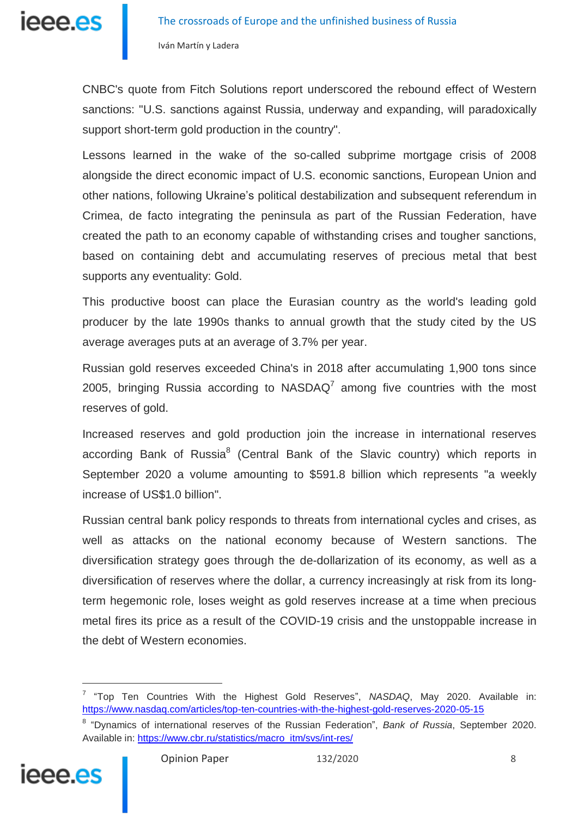

CNBC's quote from Fitch Solutions report underscored the rebound effect of Western sanctions: "U.S. sanctions against Russia, underway and expanding, will paradoxically support short-term gold production in the country".

Lessons learned in the wake of the so-called subprime mortgage crisis of 2008 alongside the direct economic impact of U.S. economic sanctions, European Union and other nations, following Ukraine's political destabilization and subsequent referendum in Crimea, de facto integrating the peninsula as part of the Russian Federation, have created the path to an economy capable of withstanding crises and tougher sanctions, based on containing debt and accumulating reserves of precious metal that best supports any eventuality: Gold.

This productive boost can place the Eurasian country as the world's leading gold producer by the late 1990s thanks to annual growth that the study cited by the US average averages puts at an average of 3.7% per year.

Russian gold reserves exceeded China's in 2018 after accumulating 1,900 tons since 2005, bringing Russia according to NASDAQ<sup>7</sup> among five countries with the most reserves of gold.

Increased reserves and gold production join the increase in international reserves according Bank of Russia<sup>8</sup> (Central Bank of the Slavic country) which reports in September 2020 a volume amounting to \$591.8 billion which represents "a weekly increase of US\$1.0 billion".

Russian central bank policy responds to threats from international cycles and crises, as well as attacks on the national economy because of Western sanctions. The diversification strategy goes through the de-dollarization of its economy, as well as a diversification of reserves where the dollar, a currency increasingly at risk from its longterm hegemonic role, loses weight as gold reserves increase at a time when precious metal fires its price as a result of the COVID-19 crisis and the unstoppable increase in the debt of Western economies.

<sup>8</sup> "Dynamics of international reserves of the Russian Federation", *Bank of Russia*, September 2020. Available in: [https://www.cbr.ru/statistics/macro\\_itm/svs/int-res/](https://www.cbr.ru/statistics/macro_itm/svs/int-res/)



<sup>7</sup> "Top Ten Countries With the Highest Gold Reserves", *NASDAQ*, May 2020. Available in: <https://www.nasdaq.com/articles/top-ten-countries-with-the-highest-gold-reserves-2020-05-15>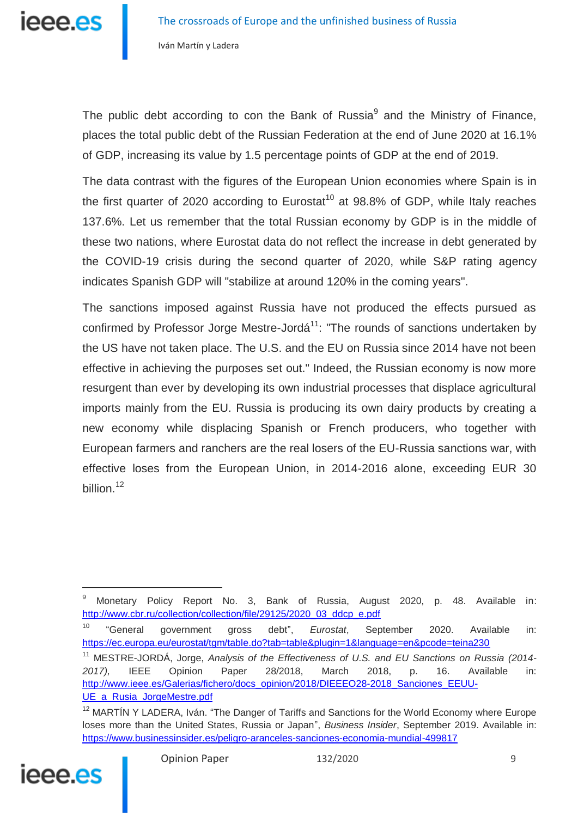

The public debt according to con the Bank of Russia<sup>9</sup> and the Ministry of Finance, places the total public debt of the Russian Federation at the end of June 2020 at 16.1% of GDP, increasing its value by 1.5 percentage points of GDP at the end of 2019.

The data contrast with the figures of the European Union economies where Spain is in the first quarter of 2020 according to Eurostat<sup>10</sup> at 98.8% of GDP, while Italy reaches 137.6%. Let us remember that the total Russian economy by GDP is in the middle of these two nations, where Eurostat data do not reflect the increase in debt generated by the COVID-19 crisis during the second quarter of 2020, while S&P rating agency indicates Spanish GDP will "stabilize at around 120% in the coming years".

The sanctions imposed against Russia have not produced the effects pursued as confirmed by Professor Jorge Mestre-Jordá<sup>11</sup>: "The rounds of sanctions undertaken by the US have not taken place. The U.S. and the EU on Russia since 2014 have not been effective in achieving the purposes set out." Indeed, the Russian economy is now more resurgent than ever by developing its own industrial processes that displace agricultural imports mainly from the EU. Russia is producing its own dairy products by creating a new economy while displacing Spanish or French producers, who together with European farmers and ranchers are the real losers of the EU-Russia sanctions war, with effective loses from the European Union, in 2014-2016 alone, exceeding EUR 30 billion.<sup>12</sup>

<sup>&</sup>lt;sup>12</sup> MARTÍN Y LADERA, Iván. "The Danger of Tariffs and Sanctions for the World Economy where Europe loses more than the United States, Russia or Japan", *Business Insider*, September 2019. Available in: <https://www.businessinsider.es/peligro-aranceles-sanciones-economia-mundial-499817>



<sup>9</sup> Monetary Policy Report No. 3, Bank of Russia, August 2020, p. 48. Available in: [http://www.cbr.ru/collection/collection/file/29125/2020\\_03\\_ddcp\\_e.pdf](http://www.cbr.ru/collection/collection/file/29125/2020_03_ddcp_e.pdf)

<sup>10</sup> "General government gross debt", *Eurostat*, September 2020. Available in: <https://ec.europa.eu/eurostat/tgm/table.do?tab=table&plugin=1&language=en&pcode=teina230>

<sup>11</sup> MESTRE-JORDÁ, Jorge, *Analysis of the Effectiveness of U.S. and EU Sanctions on Russia (2014- 2017),* IEEE Opinion Paper 28/2018, March 2018, p. 16. Available in: [http://www.ieee.es/Galerias/fichero/docs\\_opinion/2018/DIEEEO28-2018\\_Sanciones\\_EEUU-](http://www.ieee.es/Galerias/fichero/docs_opinion/2018/DIEEEO28-2018_Sanciones_EEUU-UE_a_Rusia_JorgeMestre.pdf)UE a Rusia JorgeMestre.pdf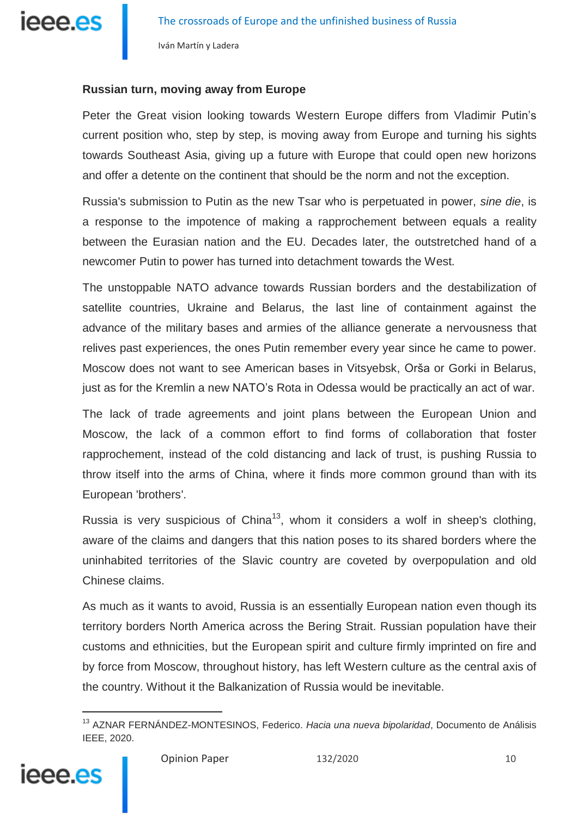

### **Russian turn, moving away from Europe**

Peter the Great vision looking towards Western Europe differs from Vladimir Putin's current position who, step by step, is moving away from Europe and turning his sights towards Southeast Asia, giving up a future with Europe that could open new horizons and offer a detente on the continent that should be the norm and not the exception.

Russia's submission to Putin as the new Tsar who is perpetuated in power, *sine die*, is a response to the impotence of making a rapprochement between equals a reality between the Eurasian nation and the EU. Decades later, the outstretched hand of a newcomer Putin to power has turned into detachment towards the West.

The unstoppable NATO advance towards Russian borders and the destabilization of satellite countries, Ukraine and Belarus, the last line of containment against the advance of the military bases and armies of the alliance generate a nervousness that relives past experiences, the ones Putin remember every year since he came to power. Moscow does not want to see American bases in Vitsyebsk, Orša or Gorki in Belarus, just as for the Kremlin a new NATO's Rota in Odessa would be practically an act of war.

The lack of trade agreements and joint plans between the European Union and Moscow, the lack of a common effort to find forms of collaboration that foster rapprochement, instead of the cold distancing and lack of trust, is pushing Russia to throw itself into the arms of China, where it finds more common ground than with its European 'brothers'.

Russia is very suspicious of China<sup>13</sup>, whom it considers a wolf in sheep's clothing, aware of the claims and dangers that this nation poses to its shared borders where the uninhabited territories of the Slavic country are coveted by overpopulation and old Chinese claims.

As much as it wants to avoid, Russia is an essentially European nation even though its territory borders North America across the Bering Strait. Russian population have their customs and ethnicities, but the European spirit and culture firmly imprinted on fire and by force from Moscow, throughout history, has left Western culture as the central axis of the country. Without it the Balkanization of Russia would be inevitable.

<sup>13</sup> AZNAR FERNÁNDEZ-MONTESINOS, Federico. *Hacia una nueva bipolaridad*, Documento de Análisis IEEE, 2020.

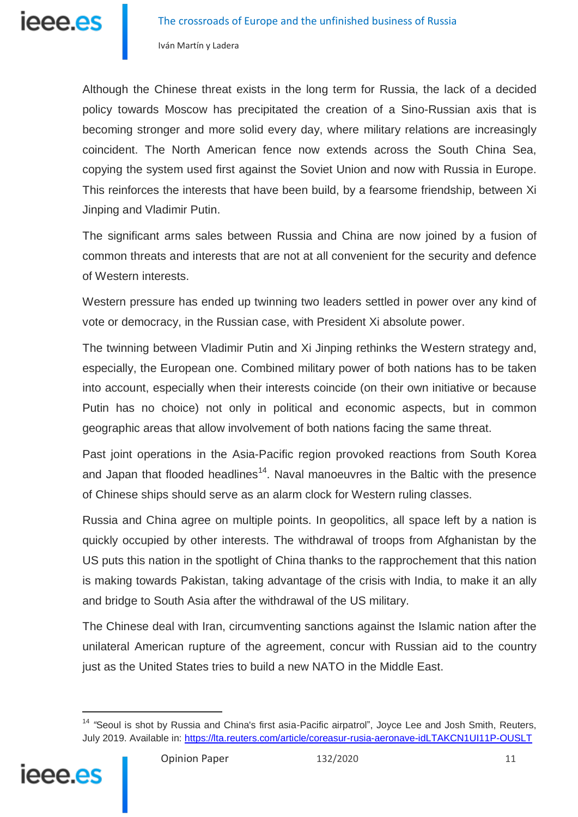Although the Chinese threat exists in the long term for Russia, the lack of a decided policy towards Moscow has precipitated the creation of a Sino-Russian axis that is becoming stronger and more solid every day, where military relations are increasingly coincident. The North American fence now extends across the South China Sea, copying the system used first against the Soviet Union and now with Russia in Europe. This reinforces the interests that have been build, by a fearsome friendship, between Xi Jinping and Vladimir Putin.

The significant arms sales between Russia and China are now joined by a fusion of common threats and interests that are not at all convenient for the security and defence of Western interests.

Western pressure has ended up twinning two leaders settled in power over any kind of vote or democracy, in the Russian case, with President Xi absolute power.

The twinning between Vladimir Putin and Xi Jinping rethinks the Western strategy and, especially, the European one. Combined military power of both nations has to be taken into account, especially when their interests coincide (on their own initiative or because Putin has no choice) not only in political and economic aspects, but in common geographic areas that allow involvement of both nations facing the same threat.

Past joint operations in the Asia-Pacific region provoked reactions from South Korea and Japan that flooded headlines<sup>14</sup>. Naval manoeuvres in the Baltic with the presence of Chinese ships should serve as an alarm clock for Western ruling classes.

Russia and China agree on multiple points. In geopolitics, all space left by a nation is quickly occupied by other interests. The withdrawal of troops from Afghanistan by the US puts this nation in the spotlight of China thanks to the rapprochement that this nation is making towards Pakistan, taking advantage of the crisis with India, to make it an ally and bridge to South Asia after the withdrawal of the US military.

The Chinese deal with Iran, circumventing sanctions against the Islamic nation after the unilateral American rupture of the agreement, concur with Russian aid to the country just as the United States tries to build a new NATO in the Middle East.

<sup>&</sup>lt;sup>14</sup> "Seoul is shot by Russia and China's first asia-Pacific airpatrol", Joyce Lee and Josh Smith, Reuters, July 2019. Available in: <https://lta.reuters.com/article/coreasur-rusia-aeronave-idLTAKCN1UI11P-OUSLT>

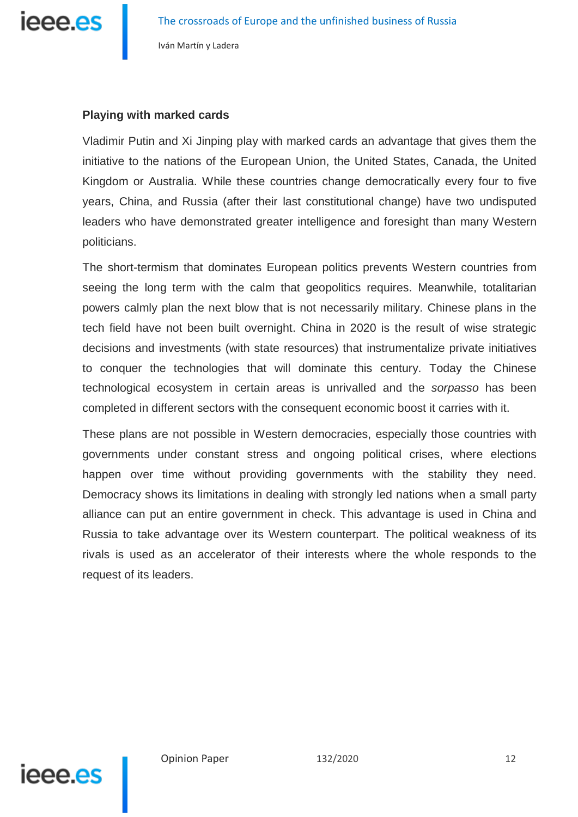

#### **Playing with marked cards**

Vladimir Putin and Xi Jinping play with marked cards an advantage that gives them the initiative to the nations of the European Union, the United States, Canada, the United Kingdom or Australia. While these countries change democratically every four to five years, China, and Russia (after their last constitutional change) have two undisputed leaders who have demonstrated greater intelligence and foresight than many Western politicians.

The short-termism that dominates European politics prevents Western countries from seeing the long term with the calm that geopolitics requires. Meanwhile, totalitarian powers calmly plan the next blow that is not necessarily military. Chinese plans in the tech field have not been built overnight. China in 2020 is the result of wise strategic decisions and investments (with state resources) that instrumentalize private initiatives to conquer the technologies that will dominate this century. Today the Chinese technological ecosystem in certain areas is unrivalled and the *sorpasso* has been completed in different sectors with the consequent economic boost it carries with it.

These plans are not possible in Western democracies, especially those countries with governments under constant stress and ongoing political crises, where elections happen over time without providing governments with the stability they need. Democracy shows its limitations in dealing with strongly led nations when a small party alliance can put an entire government in check. This advantage is used in China and Russia to take advantage over its Western counterpart. The political weakness of its rivals is used as an accelerator of their interests where the whole responds to the request of its leaders.

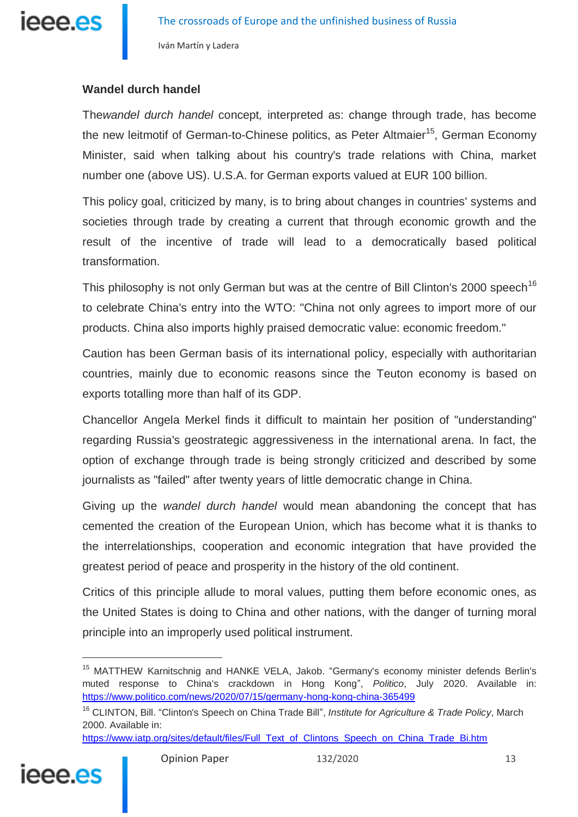

## **Wandel durch handel**

The*wandel durch handel* concept*,* interpreted as: change through trade, has become the new leitmotif of German-to-Chinese politics, as Peter Altmaier<sup>15</sup>, German Economy Minister, said when talking about his country's trade relations with China, market number one (above US). U.S.A. for German exports valued at EUR 100 billion.

This policy goal, criticized by many, is to bring about changes in countries' systems and societies through trade by creating a current that through economic growth and the result of the incentive of trade will lead to a democratically based political transformation.

This philosophy is not only German but was at the centre of Bill Clinton's 2000 speech<sup>16</sup> to celebrate China's entry into the WTO: "China not only agrees to import more of our products. China also imports highly praised democratic value: economic freedom."

Caution has been German basis of its international policy, especially with authoritarian countries, mainly due to economic reasons since the Teuton economy is based on exports totalling more than half of its GDP.

Chancellor Angela Merkel finds it difficult to maintain her position of "understanding" regarding Russia's geostrategic aggressiveness in the international arena. In fact, the option of exchange through trade is being strongly criticized and described by some journalists as "failed" after twenty years of little democratic change in China.

Giving up the *wandel durch handel* would mean abandoning the concept that has cemented the creation of the European Union, which has become what it is thanks to the interrelationships, cooperation and economic integration that have provided the greatest period of peace and prosperity in the history of the old continent.

Critics of this principle allude to moral values, putting them before economic ones, as the United States is doing to China and other nations, with the danger of turning moral principle into an improperly used political instrument.

[https://www.iatp.org/sites/default/files/Full\\_Text\\_of\\_Clintons\\_Speech\\_on\\_China\\_Trade\\_Bi.htm](https://www.iatp.org/sites/default/files/Full_Text_of_Clintons_Speech_on_China_Trade_Bi.htm)



<sup>&</sup>lt;sup>15</sup> MATTHEW Karnitschnig and HANKE VELA, Jakob. "Germany's economy minister defends Berlin's muted response to China's crackdown in Hong Kong", *Politico*, July 2020. Available in: <https://www.politico.com/news/2020/07/15/germany-hong-kong-china-365499>

<sup>16</sup> CLINTON, Bill. "Clinton's Speech on China Trade Bill", *Institute for Agriculture & Trade Policy*, March 2000. Available in: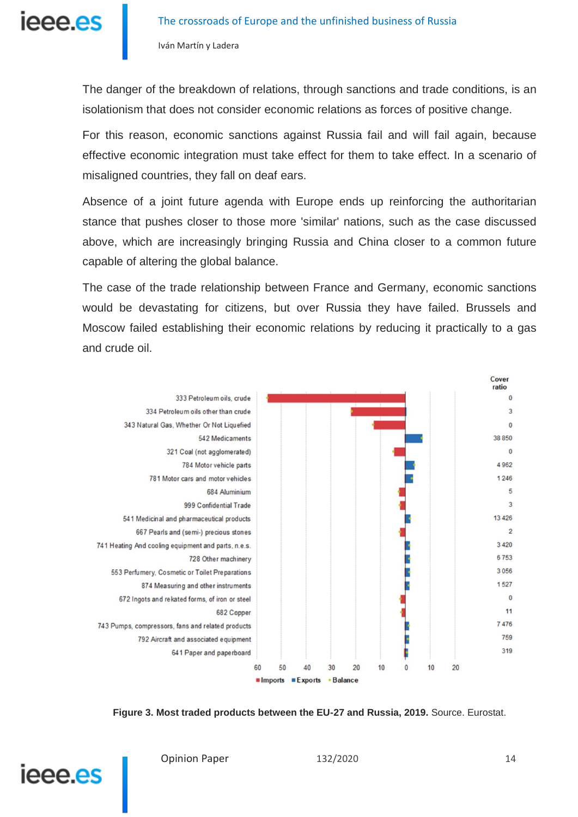

The danger of the breakdown of relations, through sanctions and trade conditions, is an isolationism that does not consider economic relations as forces of positive change.

For this reason, economic sanctions against Russia fail and will fail again, because effective economic integration must take effect for them to take effect. In a scenario of misaligned countries, they fall on deaf ears.

Absence of a joint future agenda with Europe ends up reinforcing the authoritarian stance that pushes closer to those more 'similar' nations, such as the case discussed above, which are increasingly bringing Russia and China closer to a common future capable of altering the global balance.

The case of the trade relationship between France and Germany, economic sanctions would be devastating for citizens, but over Russia they have failed. Brussels and Moscow failed establishing their economic relations by reducing it practically to a gas and crude oil.



**Figure 3. Most traded products between the EU-27 and Russia, 2019.** Source. Eurostat.

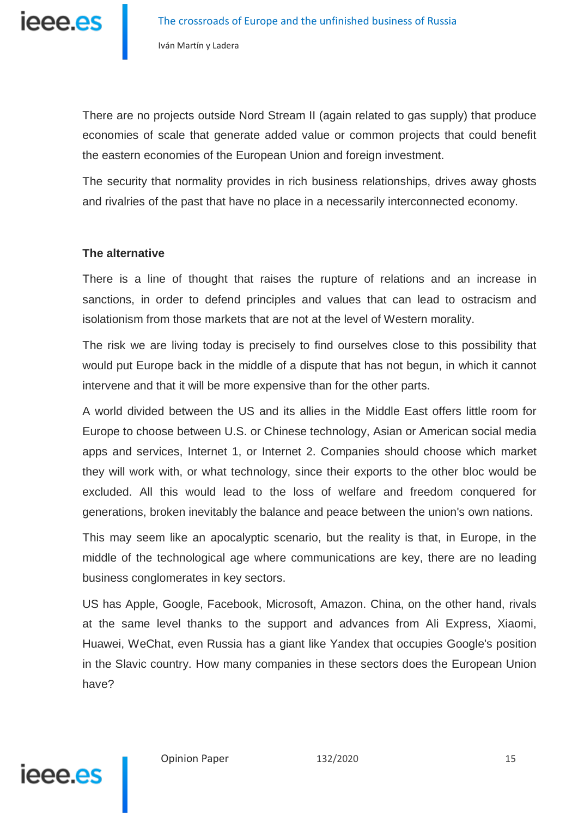ieee.es

There are no projects outside Nord Stream II (again related to gas supply) that produce economies of scale that generate added value or common projects that could benefit the eastern economies of the European Union and foreign investment.

The security that normality provides in rich business relationships, drives away ghosts and rivalries of the past that have no place in a necessarily interconnected economy.

### **The alternative**

There is a line of thought that raises the rupture of relations and an increase in sanctions, in order to defend principles and values that can lead to ostracism and isolationism from those markets that are not at the level of Western morality.

The risk we are living today is precisely to find ourselves close to this possibility that would put Europe back in the middle of a dispute that has not begun, in which it cannot intervene and that it will be more expensive than for the other parts.

A world divided between the US and its allies in the Middle East offers little room for Europe to choose between U.S. or Chinese technology, Asian or American social media apps and services, Internet 1, or Internet 2. Companies should choose which market they will work with, or what technology, since their exports to the other bloc would be excluded. All this would lead to the loss of welfare and freedom conquered for generations, broken inevitably the balance and peace between the union's own nations.

This may seem like an apocalyptic scenario, but the reality is that, in Europe, in the middle of the technological age where communications are key, there are no leading business conglomerates in key sectors.

US has Apple, Google, Facebook, Microsoft, Amazon. China, on the other hand, rivals at the same level thanks to the support and advances from Ali Express, Xiaomi, Huawei, WeChat, even Russia has a giant like Yandex that occupies Google's position in the Slavic country. How many companies in these sectors does the European Union have?

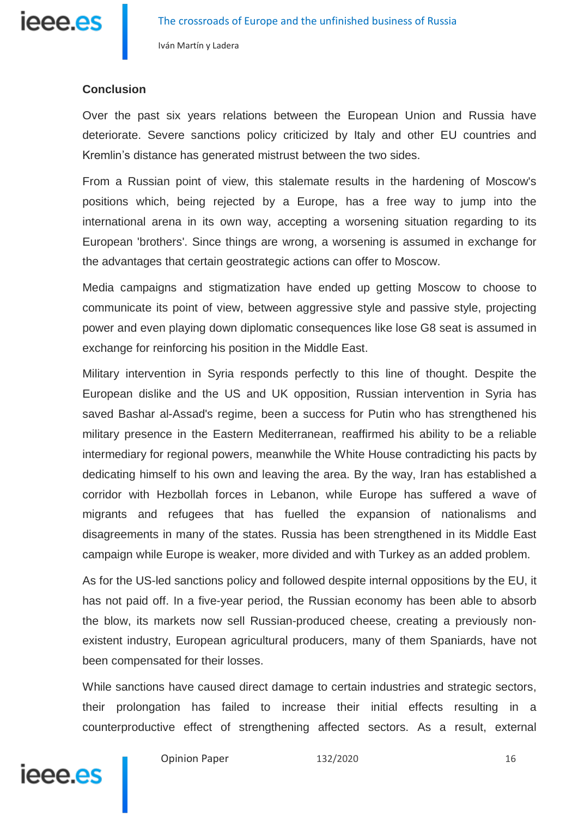

#### **Conclusion**

Over the past six years relations between the European Union and Russia have deteriorate. Severe sanctions policy criticized by Italy and other EU countries and Kremlin's distance has generated mistrust between the two sides.

From a Russian point of view, this stalemate results in the hardening of Moscow's positions which, being rejected by a Europe, has a free way to jump into the international arena in its own way, accepting a worsening situation regarding to its European 'brothers'. Since things are wrong, a worsening is assumed in exchange for the advantages that certain geostrategic actions can offer to Moscow.

Media campaigns and stigmatization have ended up getting Moscow to choose to communicate its point of view, between aggressive style and passive style, projecting power and even playing down diplomatic consequences like lose G8 seat is assumed in exchange for reinforcing his position in the Middle East.

Military intervention in Syria responds perfectly to this line of thought. Despite the European dislike and the US and UK opposition, Russian intervention in Syria has saved Bashar al-Assad's regime, been a success for Putin who has strengthened his military presence in the Eastern Mediterranean, reaffirmed his ability to be a reliable intermediary for regional powers, meanwhile the White House contradicting his pacts by dedicating himself to his own and leaving the area. By the way, Iran has established a corridor with Hezbollah forces in Lebanon, while Europe has suffered a wave of migrants and refugees that has fuelled the expansion of nationalisms and disagreements in many of the states. Russia has been strengthened in its Middle East campaign while Europe is weaker, more divided and with Turkey as an added problem.

As for the US-led sanctions policy and followed despite internal oppositions by the EU, it has not paid off. In a five-year period, the Russian economy has been able to absorb the blow, its markets now sell Russian-produced cheese, creating a previously nonexistent industry, European agricultural producers, many of them Spaniards, have not been compensated for their losses.

While sanctions have caused direct damage to certain industries and strategic sectors, their prolongation has failed to increase their initial effects resulting in a counterproductive effect of strengthening affected sectors. As a result, external